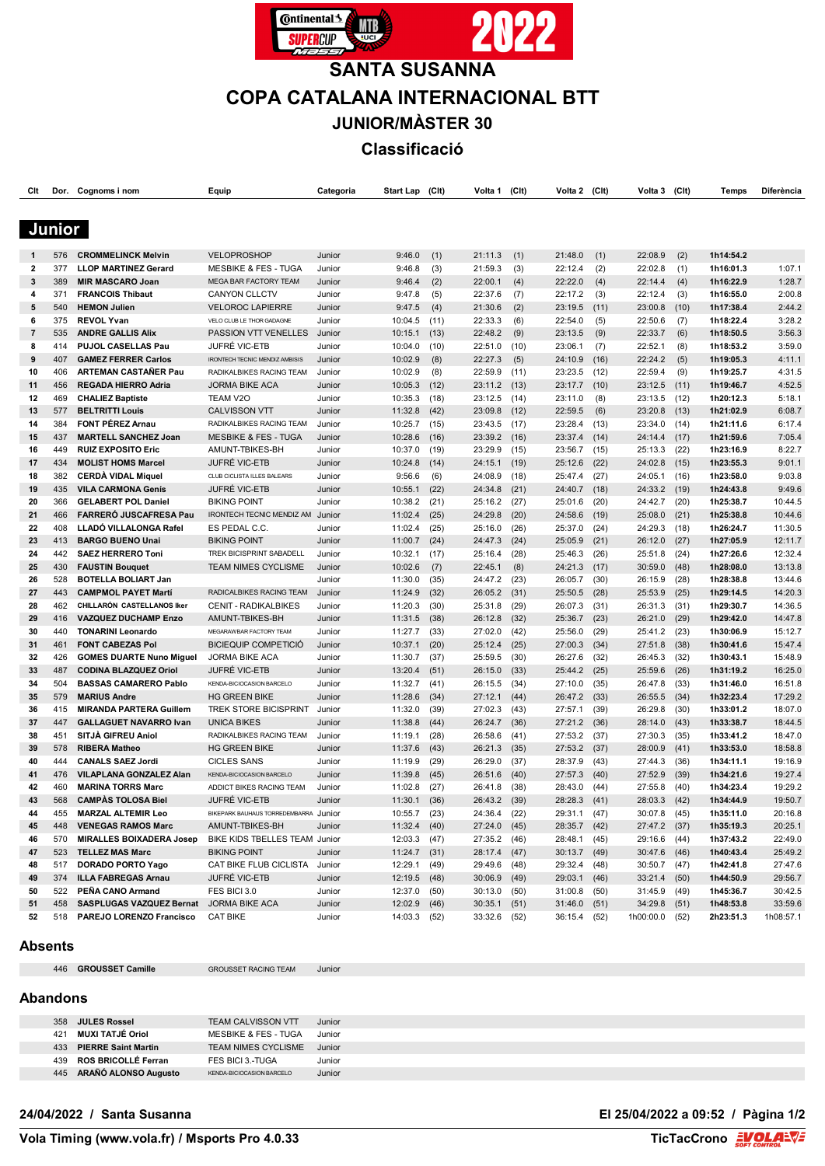

# **SANTA SUSANNA COPA CATALANA INTERNACIONAL BTT JUNIOR/MÀSTER 30**

**Classificació**

| Clt            | Dor.   | Cognoms i nom                   | Equip                                 | Categoria | <b>Start Lap</b> | (C <sub>It</sub> ) | Volta 1        | (C <sub>It</sub> ) | Volta 2        | (Clt) | Volta 3        | (C <sub>It</sub> ) | <b>Temps</b> | Diferència |
|----------------|--------|---------------------------------|---------------------------------------|-----------|------------------|--------------------|----------------|--------------------|----------------|-------|----------------|--------------------|--------------|------------|
|                |        |                                 |                                       |           |                  |                    |                |                    |                |       |                |                    |              |            |
|                |        |                                 |                                       |           |                  |                    |                |                    |                |       |                |                    |              |            |
|                | Junior |                                 |                                       |           |                  |                    |                |                    |                |       |                |                    |              |            |
|                |        |                                 |                                       |           |                  |                    |                |                    |                |       |                |                    |              |            |
|                | 576    | <b>CROMMELINCK Melvin</b>       | VELOPROSHOP                           | Junior    | 9:46.0           | (1)                | 21:11.3        | (1)                | 21:48.0        | (1)   | 22:08.9        | (2)                | 1h14:54.2    |            |
| 2              | 377    | <b>LLOP MARTINEZ Gerard</b>     | <b>MESBIKE &amp; FES - TUGA</b>       | Junior    | 9:46.8           | (3)                | 21:59.3        | (3)                | 22:12.4        | (2)   | 22:02.8        | (1)                | 1h16:01.3    | 1:07.1     |
| 3              | 389    | <b>MIR MASCARO Joan</b>         | MEGA BAR FACTORY TEAM                 | Junior    | 9:46.4           | (2)                | 22:00.1        | (4)                | 22:22.0        | (4)   | 22:14.4        | (4)                | 1h16:22.9    | 1:28.7     |
| 4              | 371    | <b>FRANCOIS Thibaut</b>         | <b>CANYON CLLCTV</b>                  | Junior    | 9:47.8           | (5)                | 22:37.6        | (7)                | 22:17.2        | (3)   | 22:12.4        | (3)                | 1h16:55.0    | 2:00.8     |
| 5              | 540    | <b>HEMON Julien</b>             | <b>VELOROC LAPIERRE</b>               | Junior    | 9:47.5           | (4)                | 21:30.6        | (2)                | 23:19.5        | (11)  | 23:00.8        | (10)               | 1h17:38.4    | 2:44.2     |
| 6              | 375    | <b>REVOL Yvan</b>               | VELO CLUB LE THOR GADAGNE             | Junior    | 10:04.5          | (11)               | 22:33.3        | (6)                | 22:54.0        | (5)   | 22:50.6        | (7)                | 1h18:22.4    | 3:28.2     |
| $\overline{7}$ | 535    | <b>ANDRE GALLIS Alix</b>        | PASSION VTT VENELLES                  | Junior    | 10:15.1          | (13)               | 22:48.2        | (9)                | 23:13.5        | (9)   | 22:33.7        | (6)                | 1h18:50.5    | 3:56.3     |
| 8              | 414    | PUJOL CASELLAS Pau              | <b>JUFRÉ VIC-ETB</b>                  | Junior    | 10:04.0          | (10)               | 22:51.0        | (10)               | 23:06.1        | (7)   | 22:52.1        | (8)                | 1h18:53.2    | 3:59.0     |
| 9              | 407    | <b>GAMEZ FERRER Carlos</b>      | IRONTECH TECNIC MENDIZ AMBISIS        | Junior    | 10:02.9          | (8)                | 22:27.3        | (5)                | 24:10.9        | (16)  | 22:24.2        | (5)                | 1h19:05.3    | 4:11.1     |
| 10             | 406    | <b>ARTEMAN CASTANER Pau</b>     | RADIKALBIKES RACING TEAM              | Junior    | 10:02.9          | (8)                | 22:59.9        | (11)               | 23:23.5        | (12)  | 22:59.4        | (9)                | 1h19:25.7    | 4:31.5     |
| 11             | 456    | <b>REGADA HIERRO Adria</b>      | <b>JORMA BIKE ACA</b>                 | Junior    | 10:05.3          | (12)               | 23:11.2        | (13)               | 23:17.7        | (10)  | 23:12.5        | (11)               | 1h19:46.7    | 4:52.5     |
| 12             | 469    | <b>CHALIEZ Baptiste</b>         | <b>TEAM V2O</b>                       | Junior    | 10:35.3          | (18)               | 23:12.5        | (14)               | 23:11.0        | (8)   | 23:13.5        | (12)               | 1h20:12.3    | 5:18.1     |
| 13             | 577    | <b>BELTRITTI Louis</b>          | <b>CALVISSON VTT</b>                  | Junior    | 11:32.8          | (42)               | 23:09.8        | (12)               | 22:59.5        | (6)   | 23:20.8        | (13)               | 1h21:02.9    | 6:08.7     |
| 14             | 384    | FONT PÉREZ Arnau                | RADIKALBIKES RACING TEAM              | Junior    | 10:25.7          | (15)               | 23:43.5        | (17)               | 23:28.4        | (13)  | 23:34.0        | (14)               | 1h21:11.6    | 6:17.4     |
| 15             | 437    | <b>MARTELL SANCHEZ Joan</b>     | <b>MESBIKE &amp; FES - TUGA</b>       | Junior    | 10:28.6          | (16)               | 23:39.2        | (16)               | 23:37.4        | (14)  | 24:14.4        | (17)               | 1h21:59.6    | 7:05.4     |
| 16             | 449    | <b>RUIZ EXPOSITO Eric</b>       | AMUNT-TBIKES-BH                       | Junior    | 10:37.0          | (19)               | 23:29.9        | (15)               | 23:56.7        | (15)  | 25:13.3        | (22)               | 1h23:16.9    | 8:22.7     |
| 17             | 434    | <b>MOLIST HOMS Marcel</b>       | <b>JUFRÉ VIC-ETB</b>                  | Junior    | 10:24.8          | (14)               | 24:15.1        | (19)               | 25:12.6        | (22)  | 24:02.8        | (15)               | 1h23:55.3    | 9:01.1     |
| 18             | 382    | <b>CERDA VIDAL Miquel</b>       | CLUB CICLISTA ILLES BALEARS           | Junior    | 9:56.6           | (6)                | 24:08.9        | (18)               | 25:47.4        | (27)  | 24:05.1        | (16)               | 1h23:58.0    | 9:03.8     |
| 19             | 435    | <b>VILA CARMONA Genís</b>       | <b>JUFRÉ VIC-ETB</b>                  | Junior    | 10:55.1          | (22)               | 24:34.8        | (21)               | 24:40.7        | (18)  | 24:33.2        | (19)               | 1h24:43.8    | 9:49.6     |
| 20             | 366    | <b>GELABERT POL Daniel</b>      | <b>BIKING POINT</b>                   | Junior    | 10:38.2          | (21)               | 25:16.2        | (27)               | 25:01.6        | (20)  | 24:42.7        | (20)               | 1h25:38.7    | 10:44.5    |
| 21             | 466    | <b>FARRERÓ JUSCAFRESA Pau</b>   | IRONTECH TECNIC MENDIZ AM             | Junior    | 11:02.4          | (25)               | 24:29.8        | (20)               | 24:58.6        | (19)  | 25:08.0        | (21)               | 1h25:38.8    | 10:44.6    |
| 22             | 408    | LLADÓ VILLALONGA Rafel          | ES PEDAL C.C.                         | Junior    | 11:02.4          | (25)               | 25:16.0        | (26)               | 25:37.0        | (24)  | 24:29.3        | (18)               | 1h26:24.7    | 11:30.5    |
| 23             | 413    | <b>BARGO BUENO Unai</b>         | <b>BIKING POINT</b>                   | Junior    | 11:00.7          | (24)               | 24:47.3        | (24)               | 25:05.9        | (21)  | 26:12.0        | (27)               | 1h27:05.9    | 12:11.7    |
| 24             | 442    | <b>SAEZ HERRERO Toni</b>        | TREK BICISPRINT SABADELL              | Junior    | 10:32.1          | (17)               | 25:16.4        | (28)               | 25:46.3        | (26)  | 25:51.8        | (24)               | 1h27:26.6    | 12:32.4    |
| 25             | 430    | <b>FAUSTIN Bouquet</b>          | <b>TEAM NIMES CYCLISME</b>            | Junior    | 10:02.6          | (7)                | 22:45.1        | (8)                | 24:21.3        | (17)  | 30:59.0        | (48)               | 1h28:08.0    | 13:13.8    |
| 26             | 528    | <b>BOTELLA BOLIART Jan</b>      |                                       | Junior    | 11:30.0          | (35)               | 24:47.2        | (23)               | 26:05.7        | (30)  | 26:15.9        | (28)               | 1h28:38.8    | 13:44.6    |
| 27             | 443    | <b>CAMPMOL PAYET Martí</b>      | RADICALBIKES RACING TEAM              | Junior    | 11:24.9          | (32)               | 26:05.2        | (31)               | 25:50.5        | (28)  | 25:53.9        | (25)               | 1h29:14.5    | 14:20.3    |
| 28             | 462    | CHILLARÓN CASTELLANOS Iker      | <b>CENIT - RADIKALBIKES</b>           | Junior    | 11:20.3          | (30)               | 25:31.8        | (29)               | 26:07.3        | (31)  | 26:31.3        | (31)               | 1h29:30.7    | 14:36.5    |
| 29             | 416    | <b>VAZQUEZ DUCHAMP Enzo</b>     | AMUNT-TBIKES-BH                       | Junior    | 11:31.5          | (38)               | 26:12.8        | (32)               | 25:36.7        | (23)  | 26:21.0        | (29)               | 1h29:42.0    | 14:47.8    |
| 30             | 440    | <b>TONARINI Leonardo</b>        | MEGARAWBAR FACTORY TEAM               | Junior    | 11:27.7          | (33)               | 27:02.0        | (42)               | 25:56.0        | (29)  | 25:41.2        | (23)               | 1h30:06.9    | 15:12.7    |
| 31             | 461    | <b>FONT CABEZAS Pol</b>         | <b>BICIEQUIP COMPETICIO</b>           | Junior    | 10:37.1          | (20)               | 25:12.4        | (25)               | 27:00.3        | (34)  | 27:51.8        | (38)               | 1h30:41.6    | 15:47.4    |
| 32             | 426    | <b>GOMES DUARTE Nuno Miguel</b> | JORMA BIKE ACA                        | Junior    | 11:30.7          | (37)               | 25:59.5        | (30)               | 26:27.6        | (32)  | 26:45.3        | (32)               | 1h30:43.1    | 15:48.9    |
| 33             | 487    | <b>CODINA BLAZQUEZ Oriol</b>    | <b>JUFRÉ VIC-ETB</b>                  | Junior    | 13:20.4          | (51)               | 26:15.0        | (33)               | 25:44.2        | (25)  | 25:59.6        | (26)               | 1h31:19.2    | 16:25.0    |
| 34             | 504    | <b>BASSAS CAMARERO Pablo</b>    | KENDA-BICIOCASION BARCELO             | Junior    | 11:32.7          | (41)               | 26:15.5        | (34)               | 27:10.0        | (35)  | 26:47.8        | (33)               | 1h31:46.0    | 16:51.8    |
| 35             | 579    | <b>MARIUS Andre</b>             | <b>HG GREEN BIKE</b>                  | Junior    | 11:28.6          | (34)               | 27:12.1        | (44)               | 26:47.2        | (33)  | 26:55.5        | (34)               | 1h32:23.4    | 17:29.2    |
| 36             | 415    | <b>MIRANDA PARTERA Guillem</b>  | <b>TREK STORE BICISPRINT</b>          | Junior    | 11:32.0          | (39)               | 27:02.3        | (43)               | 27:57.1        | (39)  | 26:29.8        | (30)               | 1h33:01.2    | 18:07.0    |
| 37             | 447    | <b>GALLAGUET NAVARRO Ivan</b>   | <b>UNICA BIKES</b>                    | Junior    | 11:38.8          | (44)               | 26:24.7        | (36)               | 27:21.2        | (36)  | 28:14.0        | (43)               | 1h33:38.7    | 18:44.5    |
| 38             | 451    | SITJÀ GIFREU Aniol              | RADIKALBIKES RACING TEAM              | Junior    | 11:19.1          | (28)               | 26:58.6        | (41)               | 27:53.2        | (37)  | 27:30.3        | (35)               | 1h33:41.2    | 18:47.0    |
| 39             | 578    | <b>RIBERA Matheo</b>            | <b>HG GREEN BIKE</b>                  | Junior    | 11:37.6          | (43)               | 26:21.3        | (35)               | 27:53.2        | (37)  | 28:00.9        | (41)               | 1h33:53.0    | 18:58.8    |
| 40             | 444    | <b>CANALS SAEZ Jordi</b>        | <b>CICLES SANS</b>                    | Junior    | 11:19.9          | (29)               | 26:29.0        | (37)               | 28:37.9        | (43)  | 27:44.3        | (36)               | 1h34:11.1    | 19:16.9    |
| 41             | 476    | VILAPLANA GONZALEZ Alan         | KENDA-BICIOCASION BARCELO             | Junior    | 11:39.8          | (45)               | 26:51.6        | (40)               | 27:57.3        | (40)  | 27:52.9        | (39)               | 1h34:21.6    | 19:27.4    |
| 42             | 460    | <b>MARINA TORRS Marc</b>        | ADDICT BIKES RACING TEAM              | Junior    | 11:02.8          | (27)               | 26:41.8        | (38)               | 28:43.0        | (44)  | 27:55.8        | (40)               | 1h34:23.4    | 19:29.2    |
| 43             | 568    | <b>CAMPAS TOLOSA Biel</b>       | <b>JUFRÉ VIC-ETB</b>                  | Junior    | 11:30.1          | (36)               | 26:43.2        | (39)               | 28:28.3        | (41)  | 28:03.3        | (42)               | 1h34:44.9    | 19:50.7    |
| 44             | 455    | <b>MARZAL ALTEMIR Leo</b>       | BIKEPARK BAUHAUS TORREDEMBARRA JUNIOT |           | $10:55.7$ (23)   |                    | 24:36.4 (22)   |                    | 29:31.1 (47)   |       | 30:07.8 (45)   |                    | 1h35:11.0    | 20:16.8    |
| 45             | 448    | <b>VENEGAS RAMOS Marc</b>       | AMUNT-TBIKES-BH                       | Junior    | $11:32.4$ (40)   |                    | 27:24.0 (45)   |                    | 28:35.7 (42)   |       | 27:47.2 (37)   |                    | 1h35:19.3    | 20:25.1    |
| 46             | 570    | <b>MIRALLES BOIXADERA Josep</b> | BIKE KIDS TBELLES TEAM Junior         |           | $12:03.3$ (47)   |                    | 27:35.2 (46)   |                    | 28:48.1        | (45)  | 29:16.6 (44)   |                    | 1h37:43.2    | 22:49.0    |
| 47             | 523    | <b>TELLEZ MAS Marc</b>          | <b>BIKING POINT</b>                   | Junior    | $11:24.7$ (31)   |                    | 28:17.4 (47)   |                    | $30:13.7$ (49) |       | 30:47.6 (46)   |                    | 1h40:43.4    | 25:49.2    |
| 48             | 517    | <b>DORADO PORTO Yago</b>        | CAT BIKE FLUB CICLISTA                | Junior    | 12:29.1 (49)     |                    | 29:49.6 (48)   |                    | 29:32.4 (48)   |       | 30:50.7 (47)   |                    | 1h42:41.8    | 27:47.6    |
| 49             | 374    | <b>ILLA FABREGAS Arnau</b>      | JUFRÉ VIC-ETB                         | Junior    | 12:19.5 (48)     |                    | 30:06.9 (49)   |                    | 29:03.1 (46)   |       | 33:21.4 (50)   |                    | 1h44:50.9    | 29:56.7    |
| 50             | 522    | PEÑA CANO Armand                | FES BICI 3.0                          | Junior    | 12:37.0 (50)     |                    | 30:13.0 (50)   |                    | 31:00.8        | (50)  | 31:45.9 (49)   |                    | 1h45:36.7    | 30:42.5    |
| 51             | 458    | <b>SASPLUGAS VAZQUEZ Bernat</b> | JORMA BIKE ACA                        | Junior    | 12:02.9 (46)     |                    | $30:35.1$ (51) |                    | 31:46.0 (51)   |       | 34:29.8 (51)   |                    | 1h48:53.8    | 33:59.6    |
| 52             |        | 518 PAREJO LORENZO Francisco    | <b>CAT BIKE</b>                       | Junior    | 14:03.3 (52)     |                    | 33:32.6 (52)   |                    | 36:15.4 (52)   |       | 1h00:00.0 (52) |                    | 2h23:51.3    | 1h08:57.1  |

### **Absents**

|  | 446 GROUSSET Camille |  |
|--|----------------------|--|
|--|----------------------|--|

**GROUSSET RACING TEAM Junior** 

## **Abandons**

| 358 | <b>JULES Rossel</b>        | <b>TEAM CALVISSON VTT</b>       | Junior |
|-----|----------------------------|---------------------------------|--------|
| 421 | <b>MUXI TATJÉ Oriol</b>    | <b>MESBIKE &amp; FES - TUGA</b> | Junior |
| 433 | <b>PIERRE Saint Martin</b> | <b>TEAM NIMES CYCLISME</b>      | Junior |
| 439 | ROS BRICOLLÉ Ferran        | FES BICL3-TUGA                  | Junior |
|     | 445 ARAÑÓ ALONSO Augusto   | KENDA-BICIOCASION BARCELO       | Junior |